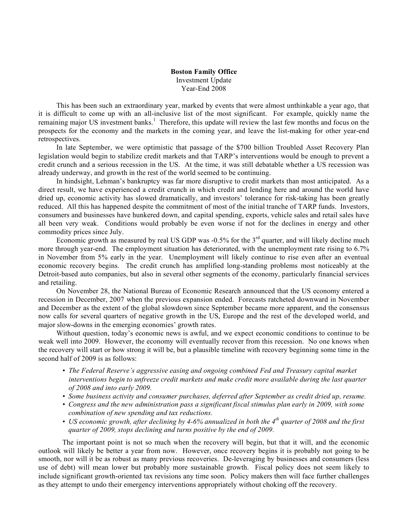## **Boston Family Office** Investment Update Year-End 2008

This has been such an extraordinary year, marked by events that were almost unthinkable a year ago, that it is difficult to come up with an all-inclusive list of the most significant. For example, quickly name the remaining major US investment banks.<sup>1</sup> Therefore, this update will review the last few months and focus on the prospects for the economy and the markets in the coming year, and leave the list-making for other year-end retrospectives.

In late September, we were optimistic that passage of the \$700 billion Troubled Asset Recovery Plan legislation would begin to stabilize credit markets and that TARP's interventions would be enough to prevent a credit crunch and a serious recession in the US. At the time, it was still debatable whether a US recession was already underway, and growth in the rest of the world seemed to be continuing.

In hindsight, Lehman's bankruptcy was far more disruptive to credit markets than most anticipated. As a direct result, we have experienced a credit crunch in which credit and lending here and around the world have dried up, economic activity has slowed dramatically, and investors' tolerance for risk-taking has been greatly reduced. All this has happened despite the commitment of most of the initial tranche of TARP funds. Investors, consumers and businesses have hunkered down, and capital spending, exports, vehicle sales and retail sales have all been very weak. Conditions would probably be even worse if not for the declines in energy and other commodity prices since July.

Economic growth as measured by real US GDP was  $-0.5\%$  for the  $3<sup>rd</sup>$  quarter, and will likely decline much more through year-end. The employment situation has deteriorated, with the unemployment rate rising to 6.7% in November from 5% early in the year. Unemployment will likely continue to rise even after an eventual economic recovery begins. The credit crunch has amplified long-standing problems most noticeably at the Detroit-based auto companies, but also in several other segments of the economy, particularly financial services and retailing.

On November 28, the National Bureau of Economic Research announced that the US economy entered a recession in December, 2007 when the previous expansion ended. Forecasts ratcheted downward in November and December as the extent of the global slowdown since September became more apparent, and the consensus now calls for several quarters of negative growth in the US, Europe and the rest of the developed world, and major slow-downs in the emerging economies' growth rates.

Without question, today's economic news is awful, and we expect economic conditions to continue to be weak well into 2009. However, the economy will eventually recover from this recession. No one knows when the recovery will start or how strong it will be, but a plausible timeline with recovery beginning some time in the second half of 2009 is as follows:

- *• The Federal Reserve's aggressive easing and ongoing combined Fed and Treasury capital market interventions begin to unfreeze credit markets and make credit more available during the last quarter of 2008 and into early 2009.*
- *• Some business activity and consumer purchases, deferred after September as credit dried up, resume.*
- *• Congress and the new administration pass a significant fiscal stimulus plan early in 2009, with some combination of new spending and tax reductions.*
- *• US economic growth, after declining by 4-6% annualized in both the 4th quarter of 2008 and the first quarter of 2009, stops declining and turns positive by the end of 2009.*

The important point is not so much when the recovery will begin, but that it will, and the economic outlook will likely be better a year from now. However, once recovery begins it is probably not going to be smooth, nor will it be as robust as many previous recoveries. De-leveraging by businesses and consumers (less use of debt) will mean lower but probably more sustainable growth. Fiscal policy does not seem likely to include significant growth-oriented tax revisions any time soon. Policy makers then will face further challenges as they attempt to undo their emergency interventions appropriately without choking off the recovery.